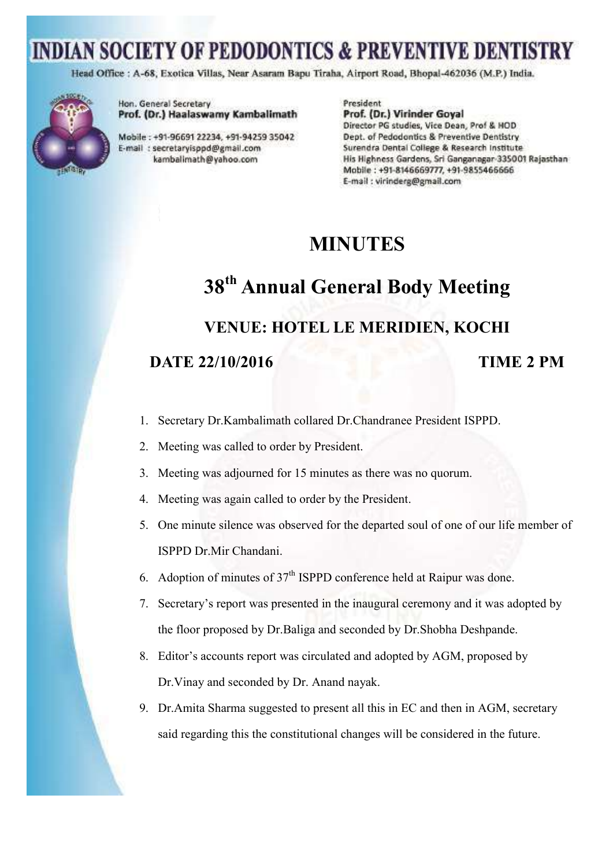Head Office : A-68, Exotica Villas, Near Asaram Bapu Tiraha, Airport Road, Bhopal-462036 (M.P.) India.



Hon. General Secretary Prof. (Dr.) Haalaswamy Kambalimath

Mobile: +91-96691 22234, +91-94259 35042 E-mail : secretaryisppd@gmail.com kambalimath@yahoo.com

President Prof. (Dr.) Virinder Goyal Director PG studies, Vice Dean, Prof & HOD Dept. of Pedodontics & Preventive Dentistry Surendra Dental College & Research Institute His Highness Gardens, Sri Ganganagar-335001 Rajasthan-Mobile: +91-8146669777, +91-9855466666 E-mail : virinderg@gmail.com

#### **MINUTES**

#### **38th Annual General Body Meeting**

#### **VENUE: HOTEL LE MERIDIEN, KOCHI**

#### **DATE 22/10/2016** TIME 2 PM

- 1. Secretary Dr.Kambalimath collared Dr.Chandranee President ISPPD.
- 2. Meeting was called to order by President.
- 3. Meeting was adjourned for 15 minutes as there was no quorum.
- 4. Meeting was again called to order by the President.
- 5. One minute silence was observed for the departed soul of one of our life member of ISPPD Dr.Mir Chandani.
- 6. Adoption of minutes of  $37<sup>th</sup>$  ISPPD conference held at Raipur was done.
- 7. Secretary's report was presented in the inaugural ceremony and it was adopted by the floor proposed by Dr.Baliga and seconded by Dr.Shobha Deshpande.
- 8. Editor's accounts report was circulated and adopted by AGM, proposed by Dr.Vinay and seconded by Dr. Anand nayak.
- 9. Dr.Amita Sharma suggested to present all this in EC and then in AGM, secretary said regarding this the constitutional changes will be considered in the future.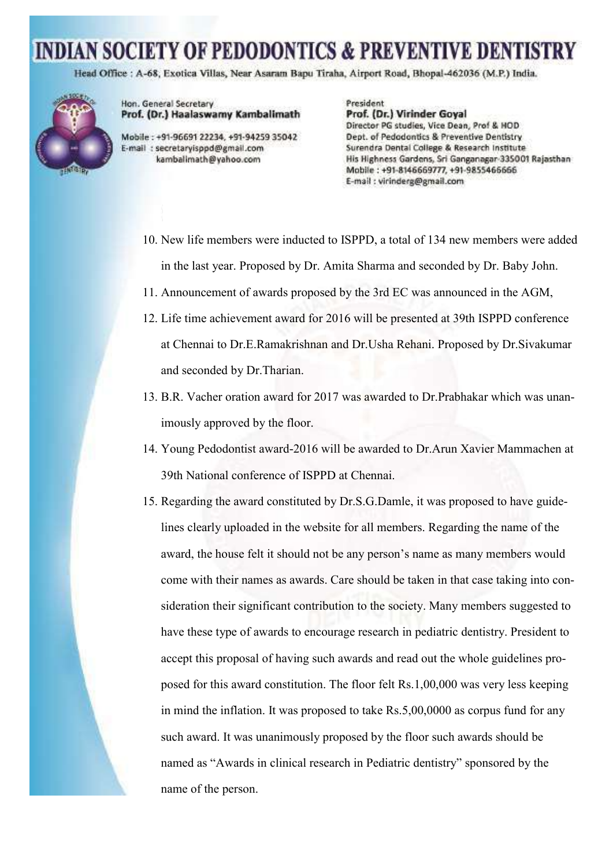Head Office : A-68, Exotica Villas, Near Asaram Bapu Tiraha, Airport Road, Bhopal-462036 (M.P.) India.



Hon. General Secretary Prof. (Dr.) Haalaswamy Kambalimath

Mobile: +91-96691 22234, +91-94259 35042 E-mail : secretaryisppd@gmail.com kambalimath@yahoo.com

President Prof. (Dr.) Virinder Goyal Director PG studies, Vice Dean, Prof & HOD Dept. of Pedodontics & Preventive Dentistry Surendra Dental College & Research Institute His Highness Gardens, Sri Ganganagar-335001 Rajasthan Mobile: +91-8146669777, +91-9855466666 E-mail : virinderg@gmail.com

- 10. New life members were inducted to ISPPD, a total of 134 new members were added in the last year. Proposed by Dr. Amita Sharma and seconded by Dr. Baby John.
- 11. Announcement of awards proposed by the 3rd EC was announced in the AGM,
- 12. Life time achievement award for 2016 will be presented at 39th ISPPD conference at Chennai to Dr.E.Ramakrishnan and Dr.Usha Rehani. Proposed by Dr.Sivakumar and seconded by Dr.Tharian.
- 13. B.R. Vacher oration award for 2017 was awarded to Dr.Prabhakar which was unanimously approved by the floor.
- 14. Young Pedodontist award-2016 will be awarded to Dr.Arun Xavier Mammachen at 39th National conference of ISPPD at Chennai.
- 15. Regarding the award constituted by Dr.S.G.Damle, it was proposed to have guidelines clearly uploaded in the website for all members. Regarding the name of the award, the house felt it should not be any person's name as many members would come with their names as awards. Care should be taken in that case taking into consideration their significant contribution to the society. Many members suggested to have these type of awards to encourage research in pediatric dentistry. President to accept this proposal of having such awards and read out the whole guidelines proposed for this award constitution. The floor felt Rs.1,00,000 was very less keeping in mind the inflation. It was proposed to take Rs.5,00,0000 as corpus fund for any such award. It was unanimously proposed by the floor such awards should be named as "Awards in clinical research in Pediatric dentistry" sponsored by the name of the person.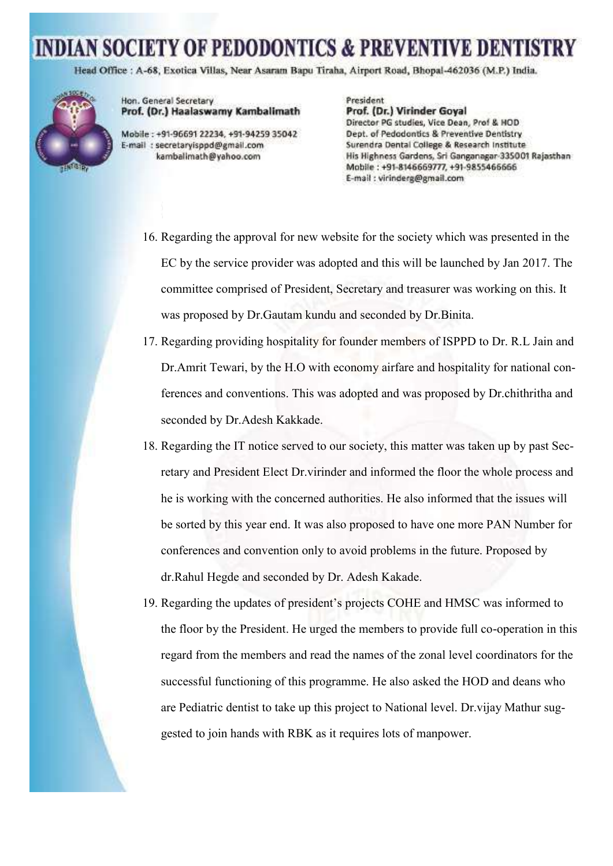Head Office : A-68, Exotica Villas, Near Asaram Bapu Tiraha, Airport Road, Bhopal-462036 (M.P.) India.



Hon. General Secretary Prof. (Dr.) Haalaswamy Kambalimath

Mobile: +91-96691 22234, +91-94259 35042 E-mail : secretaryisppd@gmail.com kambalimath@yahoo.com

President Prof. (Dr.) Virinder Goyal Director PG studies, Vice Dean, Prof & HOD Dept. of Pedodontics & Preventive Dentistry Surendra Dental College & Research Institute His Highness Gardens, Sri Ganganagar-335001 Rajasthan Mobile: +91-8146669777, +91-9855466666 E-mail: virinderg@gmail.com

- 16. Regarding the approval for new website for the society which was presented in the EC by the service provider was adopted and this will be launched by Jan 2017. The committee comprised of President, Secretary and treasurer was working on this. It was proposed by Dr.Gautam kundu and seconded by Dr.Binita.
- 17. Regarding providing hospitality for founder members of ISPPD to Dr. R.L Jain and Dr.Amrit Tewari, by the H.O with economy airfare and hospitality for national conferences and conventions. This was adopted and was proposed by Dr.chithritha and seconded by Dr.Adesh Kakkade.
- 18. Regarding the IT notice served to our society, this matter was taken up by past Secretary and President Elect Dr.virinder and informed the floor the whole process and he is working with the concerned authorities. He also informed that the issues will be sorted by this year end. It was also proposed to have one more PAN Number for conferences and convention only to avoid problems in the future. Proposed by dr.Rahul Hegde and seconded by Dr. Adesh Kakade.
- 19. Regarding the updates of president's projects COHE and HMSC was informed to the floor by the President. He urged the members to provide full co-operation in this regard from the members and read the names of the zonal level coordinators for the successful functioning of this programme. He also asked the HOD and deans who are Pediatric dentist to take up this project to National level. Dr.vijay Mathur suggested to join hands with RBK as it requires lots of manpower.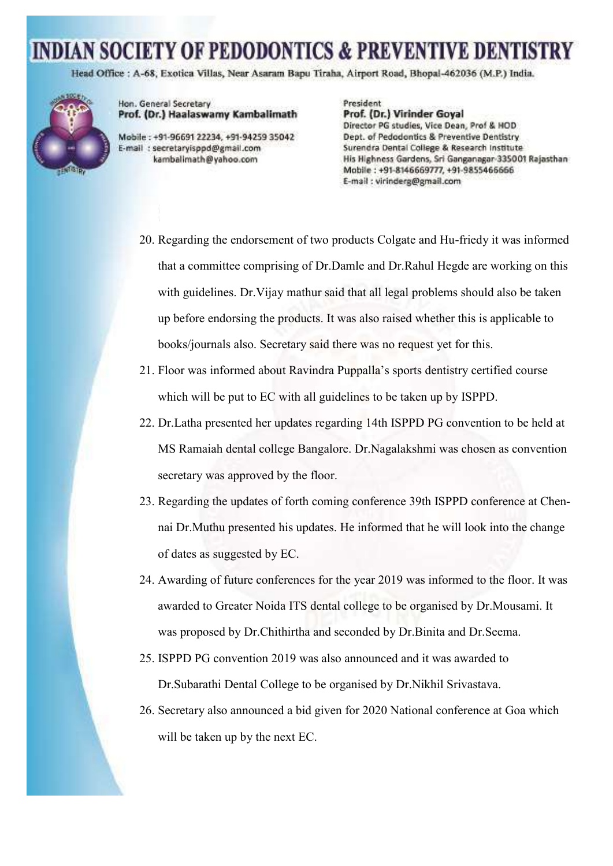Head Office : A-68, Exotica Villas, Near Asaram Bapu Tiraha, Airport Road, Bhopal-462036 (M.P.) India.



Hon. General Secretary Prof. (Dr.) Haalaswamy Kambalimath

Mobile: +91-96691 22234, +91-94259 35042 E-mail : secretaryisppd@gmail.com kambalimath@yahoo.com

President Prof. (Dr.) Virinder Goyal Director PG studies, Vice Dean, Prof & HOD Dept. of Pedodontics & Preventive Dentistry Surendra Dental College & Research Institute His Highness Gardens, Sri Ganganagar-335001 Rajasthan-Mobile: +91-8146669777, +91-9855466666 E-mail : virinderg@gmail.com

- 20. Regarding the endorsement of two products Colgate and Hu-friedy it was informed that a committee comprising of Dr.Damle and Dr.Rahul Hegde are working on this with guidelines. Dr.Vijay mathur said that all legal problems should also be taken up before endorsing the products. It was also raised whether this is applicable to books/journals also. Secretary said there was no request yet for this.
- 21. Floor was informed about Ravindra Puppalla's sports dentistry certified course which will be put to EC with all guidelines to be taken up by ISPPD.
- 22. Dr.Latha presented her updates regarding 14th ISPPD PG convention to be held at MS Ramaiah dental college Bangalore. Dr.Nagalakshmi was chosen as convention secretary was approved by the floor.
- 23. Regarding the updates of forth coming conference 39th ISPPD conference at Chennai Dr.Muthu presented his updates. He informed that he will look into the change of dates as suggested by EC.
- 24. Awarding of future conferences for the year 2019 was informed to the floor. It was awarded to Greater Noida ITS dental college to be organised by Dr.Mousami. It was proposed by Dr.Chithirtha and seconded by Dr.Binita and Dr.Seema.
- 25. ISPPD PG convention 2019 was also announced and it was awarded to Dr.Subarathi Dental College to be organised by Dr.Nikhil Srivastava.
- 26. Secretary also announced a bid given for 2020 National conference at Goa which will be taken up by the next EC.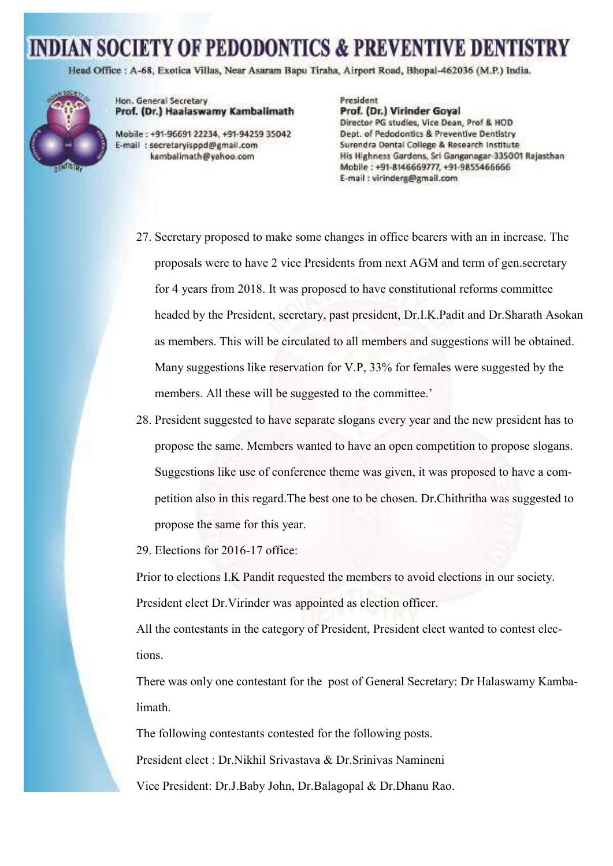Head Office : A-68, Exotica Villas, Near Asaram Bapu Tiraha, Airport Road, Bhopal-462036 (M.P.) India.



Hon. General Secretary Prof. (Dr.) Haalaswamy Kambalimath

Mobile: +91-96691 22234, +91-94259 35042 E-mail: secretaryisppd@gmail.com kambalimath@yahoo.com

President Prof. (Dr.) Virinder Goyal Director PG studies, Vice Dean, Prof & HOD Dept. of Pedodontics & Preventive Dentistry Surendra Dental College & Research Institute His Highness Gardens, Sri Ganganagar-335001 Rajasthan Mobile: +91-8146669777, +91-9855466666 E-mail: virinderg@gmail.com

- 27. Secretary proposed to make some changes in office bearers with an in increase. The proposals were to have 2 vice Presidents from next AGM and term of gen.secretary for 4 years from 2018. It was proposed to have constitutional reforms committee headed by the President, secretary, past president, Dr.I.K.Padit and Dr.Sharath Asokan as members. This will be circulated to all members and suggestions will be obtained. Many suggestions like reservation for  $V.P.$ , 33% for females were suggested by the members. All these will be suggested to the committee.'
- 28. President suggested to have separate slogans every year and the new president has to propose the same. Members wanted to have an open competition to propose slogans. Suggestions like use of conference theme was given, it was proposed to have a competition also in this regard.The best one to be chosen. Dr.Chithritha was suggested to propose the same for this year.

29. Elections for 2016-17 office:

Prior to elections I.K Pandit requested the members to avoid elections in our society. President elect Dr.Virinder was appointed as election officer.

All the contestants in the category of President, President elect wanted to contest elections.

There was only one contestant for the post of General Secretary: Dr Halaswamy Kambalimath.

The following contestants contested for the following posts.

President elect : Dr.Nikhil Srivastava & Dr.Srinivas Namineni

Vice President: Dr.J.Baby John, Dr.Balagopal & Dr.Dhanu Rao.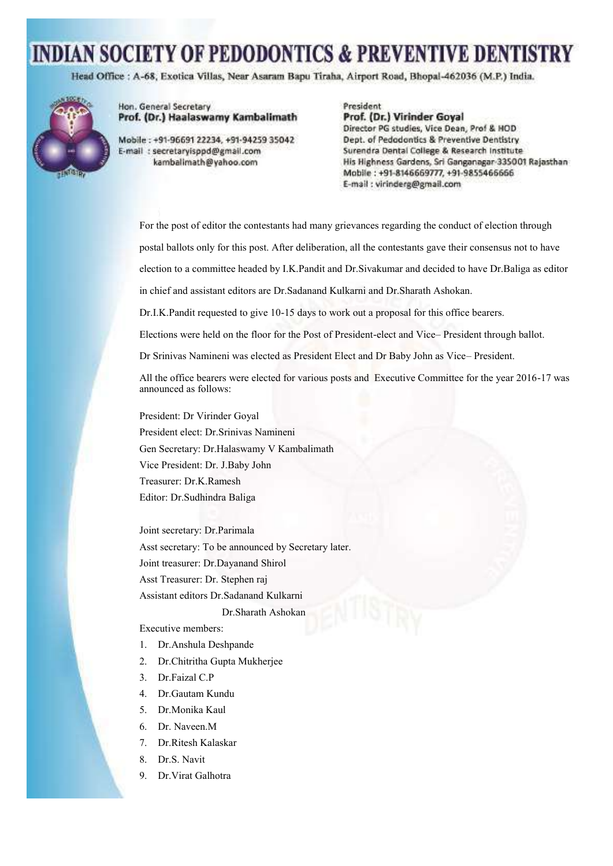Head Office : A-68, Exotica Villas, Near Asaram Bapu Tiraha, Airport Road, Bhopal-462036 (M.P.) India.



Hon. General Secretary Prof. (Dr.) Haalaswamy Kambalimath

Mobile: +91-96691 22234, +91-94259 35042 E-mail : secretaryisppd@gmail.com kambalimath@yahoo.com

President Prof. (Dr.) Virinder Goyal Director PG studies, Vice Dean, Prof & HOD Dept. of Pedodontics & Preventive Dentistry Surendra Dental College & Research Institute His Highness Gardens, Sri Ganganagar 335001 Rajasthan Mobile: +91-8146669777, +91-9855466666 E-mail : virinderg@gmail.com

For the post of editor the contestants had many grievances regarding the conduct of election through postal ballots only for this post. After deliberation, all the contestants gave their consensus not to have

election to a committee headed by I.K.Pandit and Dr.Sivakumar and decided to have Dr.Baliga as editor

in chief and assistant editors are Dr.Sadanand Kulkarni and Dr.Sharath Ashokan.

Dr.I.K.Pandit requested to give 10-15 days to work out a proposal for this office bearers.

Elections were held on the floor for the Post of President-elect and Vice– President through ballot.

Dr Srinivas Namineni was elected as President Elect and Dr Baby John as Vice– President.

All the office bearers were elected for various posts and Executive Committee for the year 2016-17 was announced as follows:

President: Dr Virinder Goyal President elect: Dr.Srinivas Namineni Gen Secretary: Dr.Halaswamy V Kambalimath Vice President: Dr. J.Baby John Treasurer: Dr.K.Ramesh Editor: Dr.Sudhindra Baliga

Joint secretary: Dr.Parimala Asst secretary: To be announced by Secretary later. Joint treasurer: Dr.Dayanand Shirol Asst Treasurer: Dr. Stephen raj Assistant editors Dr.Sadanand Kulkarni

Dr.Sharath Ashokan

Executive members:

- 1. Dr.Anshula Deshpande
- 2. Dr.Chitritha Gupta Mukherjee
- 3. Dr.Faizal C.P
- 4. Dr.Gautam Kundu
- 5. Dr.Monika Kaul
- 6. Dr. Naveen.M
- 7. Dr.Ritesh Kalaskar
- 8. Dr.S. Navit
- 9. Dr.Virat Galhotra